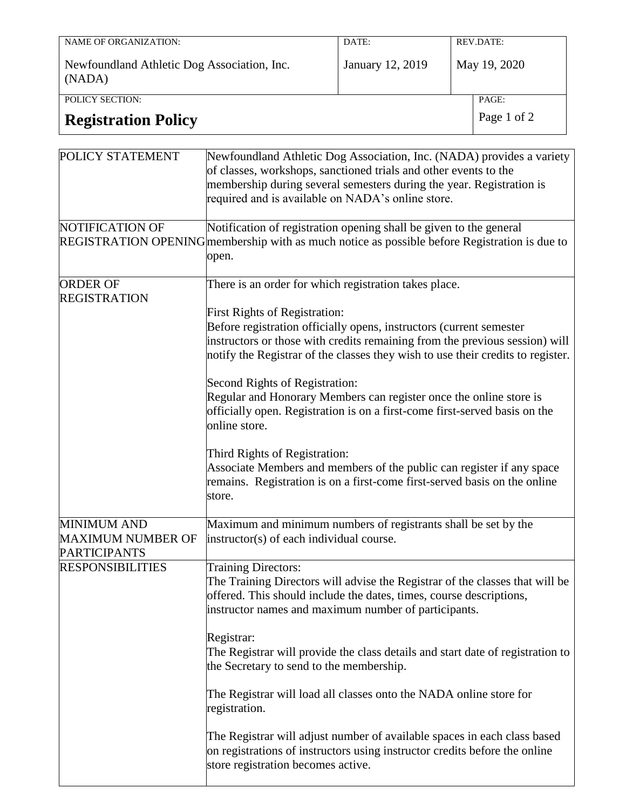| NAME OF ORGANIZATION:                                 | DATE:            |  | REV.DATE:    |
|-------------------------------------------------------|------------------|--|--------------|
| Newfoundland Athletic Dog Association, Inc.<br>(NADA) | January 12, 2019 |  | May 19, 2020 |
| POLICY SECTION:                                       |                  |  | PAGE:        |
| <b>Registration Policy</b>                            | Page 1 of 2      |  |              |

| POLICY STATEMENT                                                      | Newfoundland Athletic Dog Association, Inc. (NADA) provides a variety<br>of classes, workshops, sanctioned trials and other events to the<br>membership during several semesters during the year. Registration is<br>required and is available on NADA's online store.                                                                                                                                                                                                                                                                                                                                                                                                                                                                         |
|-----------------------------------------------------------------------|------------------------------------------------------------------------------------------------------------------------------------------------------------------------------------------------------------------------------------------------------------------------------------------------------------------------------------------------------------------------------------------------------------------------------------------------------------------------------------------------------------------------------------------------------------------------------------------------------------------------------------------------------------------------------------------------------------------------------------------------|
| NOTIFICATION OF                                                       | Notification of registration opening shall be given to the general<br>REGISTRATION OPENING membership with as much notice as possible before Registration is due to<br>open.                                                                                                                                                                                                                                                                                                                                                                                                                                                                                                                                                                   |
| <b>ORDER OF</b><br><b>REGISTRATION</b>                                | There is an order for which registration takes place.<br><b>First Rights of Registration:</b><br>Before registration officially opens, instructors (current semester<br>instructors or those with credits remaining from the previous session) will<br>notify the Registrar of the classes they wish to use their credits to register.<br>Second Rights of Registration:<br>Regular and Honorary Members can register once the online store is<br>officially open. Registration is on a first-come first-served basis on the<br>online store.<br>Third Rights of Registration:<br>Associate Members and members of the public can register if any space<br>remains. Registration is on a first-come first-served basis on the online<br>store. |
| <b>MINIMUM AND</b><br><b>MAXIMUM NUMBER OF</b><br><b>PARTICIPANTS</b> | Maximum and minimum numbers of registrants shall be set by the<br>instructor(s) of each individual course.                                                                                                                                                                                                                                                                                                                                                                                                                                                                                                                                                                                                                                     |
| <b>RESPONSIBILITIES</b>                                               | <b>Training Directors:</b><br>The Training Directors will advise the Registrar of the classes that will be<br>offered. This should include the dates, times, course descriptions,<br>instructor names and maximum number of participants.<br>Registrar:<br>The Registrar will provide the class details and start date of registration to<br>the Secretary to send to the membership.<br>The Registrar will load all classes onto the NADA online store for<br>registration.<br>The Registrar will adjust number of available spaces in each class based<br>on registrations of instructors using instructor credits before the online<br>store registration becomes active.                                                                   |